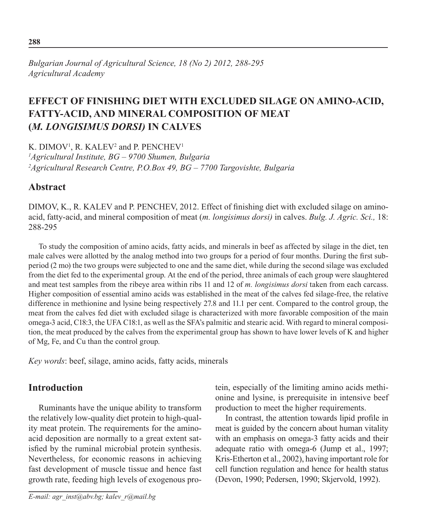# **Effect of finishing diet with excluded silage on amino-acid, fatty-acid, and mineral composition of meat (***m. longisimus dorsi)* **in calves**

K. DIMOV<sup>1</sup>, R. KALEV<sup>2</sup> and P. PENCHEV<sup>1</sup>

*1 Agricultural Institute, BG – 9700 Shumen, Bulgaria 2 Agricultural Research Centre, P.O.Box 49, BG – 7700 Targovishte, Bulgaria* 

## **Abstract**

DIMOV, K., R. KALEV and P. PENCHEV, 2012. Effect of finishing diet with excluded silage on aminoacid, fatty-acid, and mineral composition of meat (*m. longisimus dorsi)* in calves. *Bulg. J. Agric. Sci.,* 18: 288-295

To study the composition of amino acids, fatty acids, and minerals in beef as affected by silage in the diet, ten male calves were allotted by the analog method into two groups for a period of four months. During the first subperiod (2 mo) the two groups were subjected to one and the same diet, while during the second silage was excluded from the diet fed to the experimental group. At the end of the period, three animals of each group were slaughtered and meat test samples from the ribeye area within ribs 11 and 12 of *m. longisimus dorsi* taken from each carcass. Higher composition of essential amino acids was established in the meat of the calves fed silage-free, the relative difference in methionine and lysine being respectively 27.8 and 11.1 per cent. Compared to the control group, the meat from the calves fed diet with excluded silage is characterized with more favorable composition of the main omega-3 acid, C18:3, the UFA C18:1, as well as the SFA's palmitic and stearic acid. With regard to mineral composition, the meat produced by the calves from the experimental group has shown to have lower levels of K and higher of Mg, Fe, and Cu than the control group.

*Key words*: beef, silage, amino acids, fatty acids, minerals

# **Introduction**

Ruminants have the unique ability to transform the relatively low-quality diet protein to high-quality meat protein. The requirements for the aminoacid deposition are normally to a great extent satisfied by the ruminal microbial protein synthesis. Nevertheless, for economic reasons in achieving fast development of muscle tissue and hence fast growth rate, feeding high levels of exogenous pro-

tein, especially of the limiting amino acids methionine and lysine, is prerequisite in intensive beef production to meet the higher requirements.

In contrast, the attention towards lipid profile in meat is guided by the concern about human vitality with an emphasis on omega-3 fatty acids and their adequate ratio with omega-6 (Jump et al., 1997; Kris-Etherton et al., 2002), having important role for cell function regulation and hence for health status (Devon, 1990; Pedersen, 1990; Skjervold, 1992).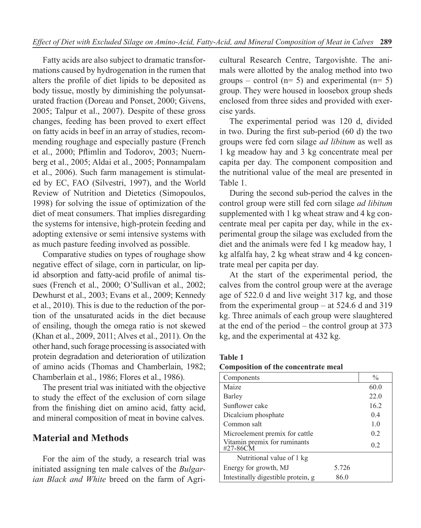Fatty acids are also subject to dramatic transformations caused by hydrogenation in the rumen that alters the profile of diet lipids to be deposited as body tissue, mostly by diminishing the polyunsaturated fraction (Doreau and Ponset, 2000; Givens, 2005; Talpur et al., 2007). Despite of these gross changes, feeding has been proved to exert effect on fatty acids in beef in an array of studies, recommending roughage and especially pasture (French et al., 2000; Pflimlin and Todorov, 2003; Nuernberg et al., 2005; Aldai et al., 2005; Ponnampalam et al., 2006). Such farm management is stimulated by ЕС, FAO (Silvestri, 1997), and the World Review of Nutrition and Dietetics (Simopoulos, 1998) for solving the issue of optimization of the diet of meat consumers. That implies disregarding the systems for intensive, high-protein feeding and adopting extensive or semi intensive systems with as much pasture feeding involved as possible.

Comparative studies on types of roughage show negative effect of silage, corn in particular, on lipid absorption and fatty-acid profile of animal tissues (French et al., 2000; O'Sullivan et al., 2002; Dewhurst et al., 2003; Evans et al., 2009; Kennedy et al., 2010). This is due to the reduction of the portion of the unsaturated acids in the diet because of ensiling, though the omega ratio is not skewed (Khan et al., 2009, 2011; Alves et al., 2011). On the other hand, such forage processing is associated with protein degradation and deterioration of utilization of amino acids (Thomas and Chamberlain, 1982; Chamberlain et al., 1986; Flores et al., 1986).

The present trial was initiated with the objective to study the effect of the exclusion of corn silage from the finishing diet on amino acid, fatty acid, and mineral composition of meat in bovine calves.

### **Material and Methods**

For the aim of the study, a research trial was initiated assigning ten male calves of the *Bulgarian Black and White* breed on the farm of Agricultural Research Centre, Targovishte. The animals were allotted by the analog method into two groups – control ( $n= 5$ ) and experimental ( $n= 5$ ) group. They were housed in loosebox group sheds enclosed from three sides and provided with exercise yards.

The experimental period was 120 d, divided in two. During the first sub-period (60 d) the two groups were fed corn silage *ad libitum* as well as 1 kg meadow hay and 3 kg concentrate meal per capita per day. The component composition and the nutritional value of the meal are presented in Table 1.

During the second sub-period the calves in the control group were still fed corn silage *ad libitum* supplemented with 1 kg wheat straw and 4 kg concentrate meal per capita per day, while in the experimental group the silage was excluded from the diet and the animals were fed 1 kg meadow hay, 1 kg alfalfa hay, 2 kg wheat straw and 4 kg concentrate meal per capita per day.

At the start of the experimental period, the calves from the control group were at the average age of 522.0 d and live weight 317 kg, and those from the experimental group – at 524.6 d and 319 kg. Three animals of each group were slaughtered at the end of the period – the control group at 373 kg, and the experimental at 432 kg.

| <b>Table 1</b>                      |  |
|-------------------------------------|--|
| Composition of the concentrate meal |  |

| Components                               |       | $\frac{0}{0}$  |
|------------------------------------------|-------|----------------|
| Maize                                    |       | 60.0           |
| Barley                                   |       | 22.0           |
| Sunflower cake                           |       | 16.2           |
| Dicalcium phosphate                      |       | 04             |
| Common salt                              |       | 1 <sub>0</sub> |
| Microelement premix for cattle           |       | 0 <sub>2</sub> |
| Vitamin premix for ruminants<br>#27-86CM |       | 0 <sub>2</sub> |
| Nutritional value of 1 kg                |       |                |
| Energy for growth, MJ                    | 5.726 |                |
| Intestinally digestible protein, g       | 86.0  |                |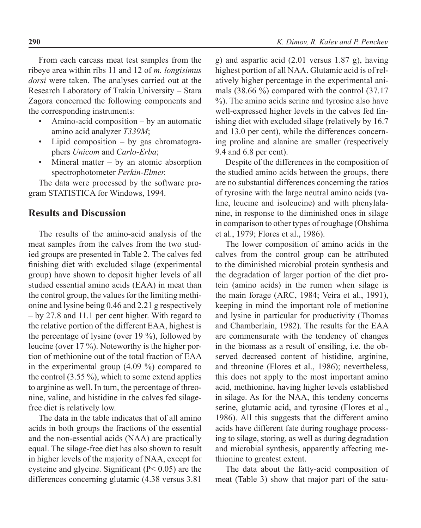From each carcass meat test samples from the ribeye area within ribs 11 and 12 of *m. longisimus dorsi* were taken. The analyses carried out at the Research Laboratory of Trakia University – Stara Zagora concerned the following components and the corresponding instruments:

- Amino-acid composition  $-$  by an automatic amino acid analyzer *Т339М*;
- Lipid composition  $-$  by gas chromatographers *Unicom* and *Carlo-Erba*;
- Mineral matter by an atomic absorption spectrophotometer *Perkin-Elmer.*

The data were processed by the software program STATISTICA for Windows, 1994.

### **Results and Discussion**

The results of the amino-acid analysis of the meat samples from the calves from the two studied groups are presented in Table 2. The calves fed finishing diet with excluded silage (experimental group) have shown to deposit higher levels of all studied essential amino acids (EAA) in meat than the control group, the values for the limiting methionine and lysine being 0.46 and 2.21 g respectively – by 27.8 and 11.1 per cent higher. With regard to the relative portion of the different EAA, highest is the percentage of lysine (over 19 %), followed by leucine (over 17 %). Noteworthy is the higher portion of methionine out of the total fraction of EAA in the experimental group (4.09 %) compared to the control (3.55 %), which to some extend applies to arginine as well. In turn, the percentage of threonine, valine, and histidine in the calves fed silagefree diet is relatively low.

The data in the table indicates that of all amino acids in both groups the fractions of the essential and the non-essential acids (NAA) are practically equal. The silage-free diet has also shown to result in higher levels of the majority of NAA, except for cysteine and glycine. Significant (P< 0.05) are the differences concerning glutamic (4.38 versus 3.81

g) and aspartic acid (2.01 versus 1.87 g), having highest portion of all NAA. Glutamic acid is of relatively higher percentage in the experimental animals (38.66 %) compared with the control (37.17 %). The amino acids serine and tyrosine also have well-expressed higher levels in the calves fed finishing diet with excluded silage (relatively by 16.7 and 13.0 per cent), while the differences concerning proline and alanine are smaller (respectively 9.4 and 6.8 per cent).

Despite of the differences in the composition of the studied amino acids between the groups, there are no substantial differences concerning the ratios of tyrosine with the large neutral amino acids (valine, leucine and isoleucine) and with phenylalanine, in response to the diminished ones in silage in comparison to other types of roughage (Ohshima et al., 1979; Flores et al., 1986).

The lower composition of amino acids in the calves from the control group can be attributed to the diminished microbial protein synthesis and the degradation of larger portion of the diet protein (amino acids) in the rumen when silage is the main forage (ARC, 1984; Veira et al., 1991), keeping in mind the important role of metionine and lysine in particular for productivity (Thomas and Chamberlain, 1982). The results for the EAA are commensurate with the tendency of changes in the biomass as a result of ensiling, i.e. the observed decreased content of histidine, arginine, and threonine (Flores et al., 1986); nevertheless, this does not apply to the most important amino acid, methionine, having higher levels established in silage. As for the NAA, this tendeny concerns serine, glutamic acid, and tyrosine (Flores et al., 1986). All this suggests that the different amino acids have different fate during roughage processing to silage, storing, as well as during degradation and microbial synthesis, apparently affecting methionine to greatest extent.

The data about the fatty-acid composition of meat (Table 3) show that major part of the satu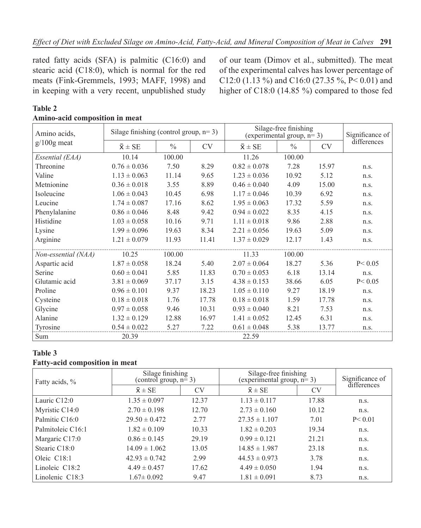rated fatty acids (SFA) is palmitic (C16:0) and stearic acid (C18:0), which is normal for the red meats (Fink-Gremmels, 1993; MAFF, 1998) and in keeping with a very recent, unpublished study of our team (Dimov et al., submitted). The meat of the experimental calves has lower percentage of C12:0 (1.13 %) and C16:0 (27.35 %, P< 0.01) and higher of C18:0 (14.85 %) compared to those fed

#### **Table 2 Amino-acid composition in meat**

| Amino acids,        | Silage finishing (control group, $n=3$ ) |               |           | Silage-free finishing<br>(experimental group, $n=3$ ) |               |       | Significance of |  |
|---------------------|------------------------------------------|---------------|-----------|-------------------------------------------------------|---------------|-------|-----------------|--|
| $g/100g$ meat       | $\bar{x} \pm SE$                         | $\frac{0}{0}$ | <b>CV</b> | $\bar{x} \pm SE$                                      | $\frac{0}{0}$ | CV    | differences     |  |
| Essential (EAA)     | 10.14                                    | 100.00        |           | 11.26                                                 | 100.00        |       |                 |  |
| Threonine           | $0.76 \pm 0.036$                         | 7.50          | 8.29      | $0.82 \pm 0.078$                                      | 7.28          | 15.97 | n.s.            |  |
| Valine              | $1.13 \pm 0.063$                         | 11.14         | 9.65      | $1.23 \pm 0.036$                                      | 10.92         | 5.12  | n.s.            |  |
| Metnionine          | $0.36 \pm 0.018$                         | 3.55          | 8.89      | $0.46 \pm 0.040$                                      | 4.09          | 15.00 | n.s.            |  |
| Isoleucine          | $1.06 \pm 0.043$                         | 10.45         | 6.98      | $1.17 \pm 0.046$                                      | 10.39         | 6.92  | n.s.            |  |
| Leucine             | $1.74 \pm 0.087$                         | 17.16         | 8.62      | $1.95 \pm 0.063$                                      | 17.32         | 5.59  | n.s.            |  |
| Phenylalanine       | $0.86 \pm 0.046$                         | 8.48          | 9.42      | $0.94 \pm 0.022$                                      | 8.35          | 4.15  | n.s.            |  |
| Histidine           | $1.03 \pm 0.058$                         | 10.16         | 9.71      | $1.11 \pm 0.018$                                      | 9.86          | 2.88  | n.s.            |  |
| Lysine              | $1.99 \pm 0.096$                         | 19.63         | 8.34      | $2.21 \pm 0.056$                                      | 19.63         | 5.09  | n.s.            |  |
| Arginine            | $1.21 \pm 0.079$                         | 11.93         | 11.41     | $1.37 \pm 0.029$                                      | 12.17         | 1.43  | n.s.            |  |
| Non-essential (NAA) | 10.25                                    | 100.00        |           | 11.33                                                 | 100.00        |       |                 |  |
| Aspartic acid       | $1.87 \pm 0.058$                         | 18.24         | 5.40      | $2.07 \pm 0.064$                                      | 18.27         | 5.36  | P < 0.05        |  |
| Serine              | $0.60 \pm 0.041$                         | 5.85          | 11.83     | $0.70 \pm 0.053$                                      | 6.18          | 13.14 | n.s.            |  |
| Glutamic acid       | $3.81 \pm 0.069$                         | 37.17         | 3.15      | $4.38 \pm 0.153$                                      | 38.66         | 6.05  | P < 0.05        |  |
| Proline             | $0.96 \pm 0.101$                         | 9.37          | 18.23     | $1.05 \pm 0.110$                                      | 9.27          | 18.19 | n.s.            |  |
| Cysteine            | $0.18 \pm 0.018$                         | 1.76          | 17.78     | $0.18 \pm 0.018$                                      | 1.59          | 17.78 | n.s.            |  |
| Glycine             | $0.97 \pm 0.058$                         | 9.46          | 10.31     | $0.93 \pm 0.040$                                      | 8.21          | 7.53  | n.s.            |  |
| Alanine             | $1.32 \pm 0.129$                         | 12.88         | 16.97     | $1.41 \pm 0.052$                                      | 12.45         | 6.31  | n.s.            |  |
| Tyrosine            | $0.54 \pm 0.022$                         | 5.27          | 7.22      | $0.61 \pm 0.048$                                      | 5.38          | 13.77 | n.s.            |  |
| Sum                 | 20.39                                    |               |           | 22.59                                                 |               |       |                 |  |

#### **Table 3**

#### **Fatty-acid composition in meat**

| Fatty acids, %            | Silage finishing<br>(control group, $n=3$ ) |           | Silage-free finishing<br>(experimental group, $n=3$ ) | Significance of |             |
|---------------------------|---------------------------------------------|-----------|-------------------------------------------------------|-----------------|-------------|
|                           | $\bar{x}$ ± SE                              | <b>CV</b> | $\bar{x}$ ± SE                                        | <b>CV</b>       | differences |
| Lauric $C12:0$            | $1.35 \pm 0.097$                            | 12.37     | $1.13 \pm 0.117$                                      | 17.88           | n.s.        |
| Myristic C14:0            | $2.70 \pm 0.198$                            | 12.70     | $2.73 \pm 0.160$                                      | 10.12           | n.s.        |
| Palmitic C16:0            | $29.50 \pm 0.472$                           | 2.77      | $27.35 \pm 1.107$                                     | 7.01            | P < 0.01    |
| Palmitoleic C16:1         | $1.82 \pm 0.109$                            | 10.33     | $1.82 \pm 0.203$                                      | 19.34           | n.s.        |
| Margaric C17:0            | $0.86 \pm 0.145$                            | 29.19     | $0.99 \pm 0.121$                                      | 21.21           | n.s.        |
| Stearic C <sub>18:0</sub> | $14.09 \pm 1.062$                           | 13.05     | $14.85 \pm 1.987$                                     | 23.18           | n.S.        |
| Oleic C18:1               | $42.93 \pm 0.742$                           | 2.99      | $44.53 \pm 0.973$                                     | 3.78            | n.s.        |
| Linoleic C18:2            | $4.49 \pm 0.457$                            | 17.62     | $4.49 \pm 0.050$                                      | 1.94            | n.s.        |
| Linolenic $C18:3$         | $1.67 \pm 0.092$                            | 9.47      | $1.81 \pm 0.091$                                      | 8.73            | n.S.        |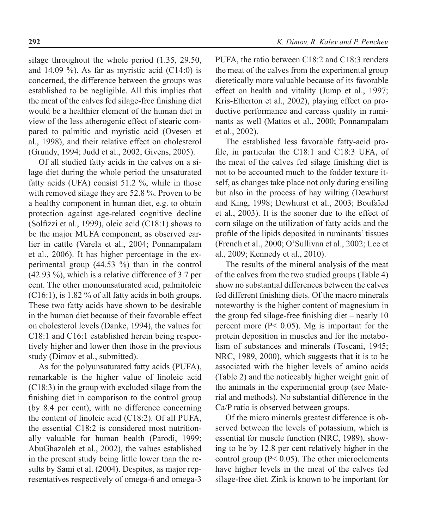silage throughout the whole period (1.35, 29.50, and 14.09 %). As far as myristic acid (C14:0) is concerned, the difference between the groups was established to be negligible. All this implies that the meat of the calves fed silage-free finishing diet would be a healthier element of the human diet in view of the less atherogenic effect of stearic compared to palmitic and myristic acid (Ovesen et al., 1998), and their relative effect on cholesterol (Grundy, 1994; Judd et al., 2002; Givens, 2005).

Of all studied fatty acids in the calves on a silage diet during the whole period the unsaturated fatty acids (UFA) consist 51.2 %, while in those with removed silage they are 52.8 %. Proven to be a healthy component in human diet, e.g. to obtain protection against age-related cognitive decline (Solfizzi et al., 1999), oleic acid (C18:1) shows to be the major MUFA component, as observed earlier in cattle (Varela et al., 2004; Ponnampalam et al., 2006). It has higher percentage in the experimental group  $(44.53 \%)$  than in the control (42.93 %), which is a relative difference of 3.7 per cent. The other monounsaturated acid, palmitoleic (C16:1), is 1.82 % of all fatty acids in both groups. These two fatty acids have shown to be desirable in the human diet because of their favorable effect on cholesterol levels (Danke, 1994), the values for С18:1 and С16:1 established herein being respectively higher and lower then those in the previous study (Dimov et al., submitted).

As for the polyunsaturated fatty acids (PUFA), remarkable is the higher value of linoleic acid (C18:3) in the group with excluded silage from the finishing diet in comparison to the control group (by 8.4 per cent), with no difference concerning the content of linoleic acid (C18:2). Of all PUFA, the essential C18:2 is considered most nutritionally valuable for human health (Parodi, 1999; AbuGhazaleh et al., 2002), the values established in the present study being little lower than the results by Sami et al. (2004). Despites, as major representatives respectively of omega-6 and omega-3

PUFA, the ratio between C18:2 and C18:3 renders the meat of the calves from the experimental group dietetically more valuable because of its favorable effect on health and vitality (Jump et al., 1997; Kris-Etherton et al., 2002), playing effect on productive performance and carcass quality in ruminants as well (Mattos et al., 2000; Ponnampalam et al., 2002).

The established less favorable fatty-acid profile, in particular the C18:1 and C18:3 UFA, of the meat of the calves fed silage finishing diet is not to be accounted much to the fodder texture itself, as changes take place not only during ensiling but also in the process of hay wilting (Dewhurst and King, 1998; Dewhurst et al., 2003; Boufaïed et al., 2003). It is the sooner due to the effect of corn silage on the utilization of fatty acids and the profile of the lipids deposited in ruminants' tissues (French et al., 2000; O'Sullivan et al., 2002; Lee et al., 2009; Kennedy et al., 2010).

The results of the mineral analysis of the meat of the calves from the two studied groups (Table 4) show no substantial differences between the calves fed different finishing diets. Of the macro minerals noteworthy is the higher content of magnesium in the group fed silage-free finishing diet – nearly 10 percent more ( $P < 0.05$ ). Mg is important for the protein deposition in muscles and for the metabolism of substances and minerals (Toscani, 1945; NRC, 1989, 2000), which suggests that it is to be associated with the higher levels of amino acids (Table 2) and the noticeably higher weight gain of the animals in the experimental group (see Material and methods). No substantial difference in the Ca/P ratio is observed between groups.

Of the micro minerals greatest difference is observed between the levels of potassium, which is essential for muscle function (NRC, 1989), showing to be by 12.8 per cent relatively higher in the control group ( $P < 0.05$ ). The other microelements have higher levels in the meat of the calves fed silage-free diet. Zink is known to be important for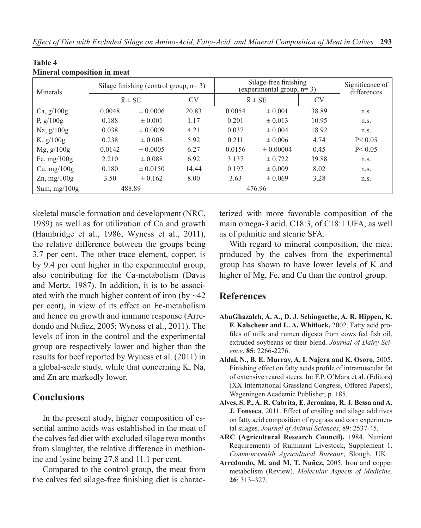| Minerals                           | Silage finishing (control group, $n=3$ ) |              |           | Silage-free finishing<br>(experimental group, $n=3$ ) |               |           | Significance of<br>differences |
|------------------------------------|------------------------------------------|--------------|-----------|-------------------------------------------------------|---------------|-----------|--------------------------------|
|                                    | $\bar{x} \pm SE$                         |              | <b>CV</b> | $\bar{x} \pm SE$                                      |               | <b>CV</b> |                                |
| Ca, $g/100g$                       | 0.0048                                   | $\pm 0.0006$ | 20.83     | 0.0054                                                | $\pm 0.001$   | 38.89     | n.s.                           |
| P, $g/100g$                        | 0.188                                    | $\pm 0.001$  | 1.17      | 0.201                                                 | $\pm 0.013$   | 10.95     | n.s.                           |
| Na, $g/100g$                       | 0.038                                    | $\pm 0.0009$ | 4.21      | 0.037                                                 | $\pm 0.004$   | 18.92     | n.S.                           |
| K, $g/100g$                        | 0.238                                    | $\pm 0.008$  | 5.92      | 0.211                                                 | $\pm 0.006$   | 4.74      | P < 0.05                       |
| $Mg$ , $g/100g$                    | 0.0142                                   | $\pm 0.0005$ | 6.27      | 0.0156                                                | $\pm 0.00004$ | 0.45      | P < 0.05                       |
| Fe, mg/ $100g$                     | 2.210                                    | $\pm 0.088$  | 6.92      | 3.137                                                 | $\pm 0.722$   | 39.88     | n.s.                           |
| Cu, $mg/100g$                      | 0.180                                    | $\pm 0.0150$ | 14.44     | 0.197                                                 | $\pm 0.009$   | 8.02      | n.s.                           |
| $\text{Zn}, \text{mg}/100\text{g}$ | 3.50                                     | $\pm 0.162$  | 8.00      | 3.63                                                  | $\pm 0.069$   | 3.28      | n.s.                           |
| Sum, $mg/100g$                     | 488.89                                   |              |           | 476.96                                                |               |           |                                |

#### **Table 4 Mineral composition in meat**

skeletal muscle formation and development (NRC, 1989) as well as for utilization of Ca and growth (Hambridge et al., 1986; Wyness et al., 2011), the relative difference between the groups being 3.7 per cent. The other trace element, copper, is by 9.4 per cent higher in the experimental group, also contributing for the Ca-metabolism (Davis and Mertz, 1987). In addition, it is to be associated with the much higher content of iron (by  $\sim$ 42) per cent), in view of its effect on Fe-metabolism and hence on growth and immune response (Arredondo and Nuñez, 2005; Wyness et al., 2011). The levels of iron in the control and the experimental group are respectively lower and higher than the results for beef reported by Wyness et al. (2011) in a global-scale study, while that concerning K, Na, and Zn are markedly lower.

### **Conclusions**

In the present study, higher composition of essential amino acids was established in the meat of the calves fed diet with excluded silage two months from slaughter, the relative difference in methionine and lysine being 27.8 and 11.1 per cent.

Compared to the control group, the meat from the calves fed silage-free finishing diet is characterized with more favorable composition of the main omega-3 acid, C18:3, of C18:1 UFA, as well as of palmitic and stearic SFA.

With regard to mineral composition, the meat produced by the calves from the experimental group has shown to have lower levels of K and higher of Mg, Fe, and Cu than the control group.

### **References**

- **AbuGhazaleh, A. A., D. J. Schingoethe, A. R. Hippen, K. F. Kalscheur and L. A. Whitlock,** 2002. Fatty acid profiles of milk and rumen digesta from cows fed fish oil, extruded soybeans or their blend. *Journal of Dairy Science*, **85**: 2266-2276.
- **Aldai, N., B. E. Murray, A. I. Najera and K. Osoro,** 2005. Finishing effect on fatty acids profile of intramuscular fat of extensive reared steers. In: F.P. O'Mara et al. (Editors) (XX International Grassland Congress, Offered Papers), Wageningen Academic Publisher, p. 185.
- **Alves, S. P., A. R. Cabrita, E. Jeronimo, R. J. Bessa and A. J. Fonseca**, 2011. Effect of ensiling and silage additives on fatty acid composition of ryegrass and corn experimental silages. *Journal of Animal Sciences*, 89: 2537-45.
- **ARC (Agricultural Research Council),** 1984. Nutrient Requirements of Ruminant Livestock, Supplement 1. *Commonwealth Agricultural Bureaux*, Slough, UK.
- **Arredondo, M. and M. T. Nuñez,** 2005. Iron and copper metabolism (Review). *Molecular Aspects of Medicine,* **26**: 313–327.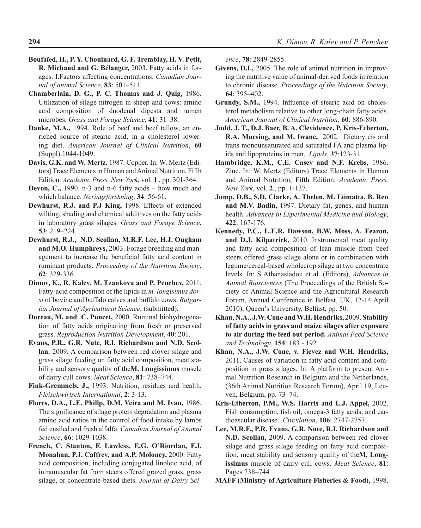- **Boufaïed, H., P. Y. Chouinard, G. F. Tremblay, H. V. Petit, R. Michaud and G. Bélanger,** 2003. Fatty acids in forages. I.Factors affecting concentrations. *Canadian Journal of animal Science*, **83**: 501–511.
- **Chamberlain, D. G., P. C. Thomas and J. Quig,** 1986. Utilization of silage nitrogen in sheep and cows: amino acid composition of duodenal digesta and rumen microbes. *Grass and Forage Science*, **41**: 31–38.
- **Danke, M.A.,** 1994. Role of beef and beef tallow, an enriched source of stearic acid, in a cholesterol lowering diet. *American Journal of Clinical Nutrition*, **60** (Suppl):1044-1049.
- **Davis, G.K. and W. Mertz.** 1987. Copper. In: W. Mertz (Editors) Trace Elements in Human and Animal Nutrition, Fifth Edition. *Academic Press, New York*, vol. **1**., pp. 301-364.
- **Devon, C.,** 1990. n-3 and n-6 fatty acids how much and which balance. *Neringsforskning*, **34**: 56-61.
- **Dewhurst, R.J. and P.J King,** 1998. Effects of extended wilting, shading and chemical additives on the fatty acids in laboratory grass silages. *Grass and Forage Science*, **53**: 219–224.
- **Dewhurst, R.J., N.D. Scollan, M.R.F. Lee, H.J. Ougham and M.O. Humphreys,** 2003. Forage breeding and management to increase the beneficial fatty acid content in ruminant products. *Proceeding of the Nutrition Society*, **62**: 329-336.
- **Dimov, K., R. Kalev, M. Tzankova and P. Penchev,** 2011. Fatty-acid composition of the lipids in *m. longisimus dorsi* of bovine and buffalo calves and buffalo cows. *Bulgarian Journal of Agricultural Science*, (submitted).
- **Doreau, M. and C. Poncet,** 2000. Ruminal biohydrogenation of fatty acids originating from fresh or preserved grass. *Reproduction Nutrition Development*, **40**: 201.
- **Evans, P.R., G.R. Nute, R.I. Richardson and N.D. Scollan**, 2009. A comparison between red clover silage and grass silage feeding on fatty acid composition, meat stability and sensory quality of the**M. Longissimus** muscle of dairy cull cows. *Meat Science*, **81**: 738–744.
- **Fink-Gremmels, J.,** 1993. Nutrition, residues and health. *Fleischwirtsch International*, **2**: 3-13.
- **Flores, D.A., L.E. Phillp, D.M. Veira and M. Ivan,** 1986. The significance of silage protein degradation and plasma amino acid ratios in the control of food intake by lambs fed ensiled and fresh alfalfa. *Canadian Journal of Animal Science*, **66**: 1029-1038.
- **French, C. Stanton, F. Lawless, E.G. O'Riordan, F.J. Monahan, P.J. Caffrey, and A.P. Moloney,** 2000. Fatty acid composition, including conjugated linoleic acid, of intramuscular fat from steers offered grazed grass, grass silage, or concentrate-based diets. *Journal of Dairy Sci-*

*ence*, **78**: 2849-2855.

- **Givens, D.I.,** 2005. The role of animal nutrition in improving the nutritive value of animal-derived foods in relation to chronic disease. *Proceedings of the Nutrition Society*, **64**: 395–402.
- **Grundy, S.M.,** 1994. Influence of stearic acid on cholesterol metabolism relative to other long-chain fatty acids. *American Journal of Clinical Nutrition,* **60**: 886-890*.*
- **Judd, J. T., D.J. Baer, B. A. Clevidence, P. Kris-Etherton, R.A. Muesing, and M. Iwane,** 2002. Dietary cis and trans monounsaturated and saturated FA and plasma lipids and lipoproteins in men. *Lipids*, **37**:123-31.
- **Hambridge, K.M., C.E. Casey and N.F. Krebs,** 1986. Zinc. In: W. Mertz (Editors) Trace Elements in Human and Animal Nutrition, Fifth Edition. *Academic Press, New York*, vol. **2**., pp. 1-137.
- **Jump, D.B., S.D. Clarke, A. Thelen, M. Liimatta, B. Ren and M.V. Badin,** 1997. Dietary fat, genes, and human health. *Advances in Experimental Medicine and Biology*, **422**: 167-176.
- **Kennedy, P.C., L.E.R. Dawson, B.W. Moss, A. Fearon, and D.J. Kilpatrick,** 2010. Instrumental meat quality and fatty acid composition of lean muscle from beef steers offered grass silage alone or in combination with legume/cereal-based wholecrop silage at two concentrate levels. In: S Athanasiadou et al. (Editors), *Advances in Animal Biosciences* (The Proceedings of the British Society of Animal Science and the Agricultural Research Forum, Annual Conference in Belfast, UK, 12-14 April 2010), Queen's University, Belfast, pp. 50.
- **Khan, N.A., J.W. Cone and W.H. Hendriks,** 2009. **Stability of fatty acids in grass and maize silages after exposure to air during the feed out period.** *Animal Feed Science and Technology*, **154**: 183 - 192.
- **Khan, N.A., J.W. Cone, v. Fievez and W.H. Hendriks**, 2011. Causes of variation in fatty acid content and composition in grass silages. In: A platform to present Animal Nutrition Research in Belgium and the Netherlands, (36th Animal Nutrition Research Forum), April 19, Leuven, Belgium, pp. 73–74.
- **Kris-Etherton, P.M., W.S. Harris and L.J. Appel,** 2002. Fish consumption, fish oil, omega-3 fatty acids, and cardioascular disease. *Circulation*, **106**: 2747-2757.
- **Lee, M.R.F., P.R. Evans, G.R. Nute, R.I. Richardson and N.D. Scollan,** 2009. A comparison between red clover silage and grass silage feeding on fatty acid composition, meat stability and sensory quality of the**M. Longissimus** muscle of dairy cull cows. *Meat Science*, **81**: Pages 738–744
- **MAFF (Ministry of Agriculture Fisheries & Food),** 1998.